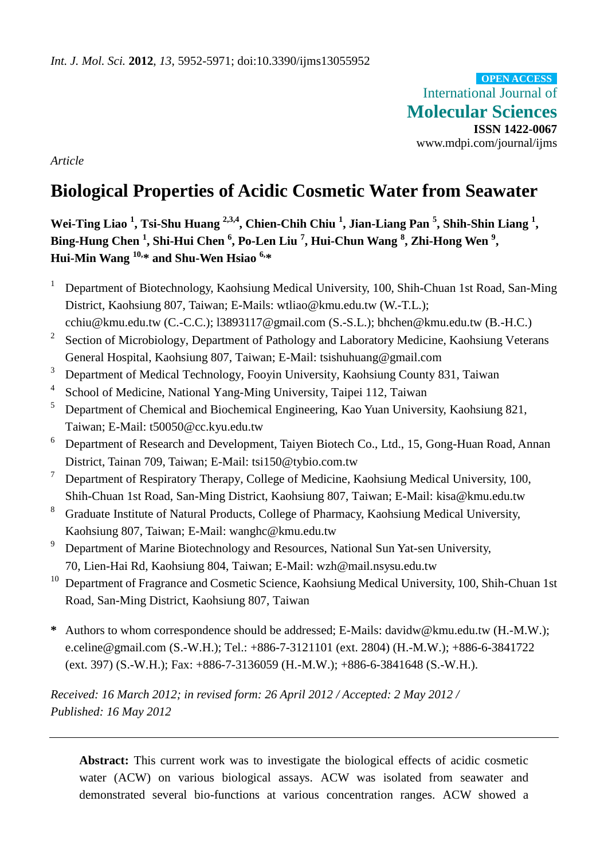International Journal of **Molecular Sciences ISSN 1422-0067** www.mdpi.com/journal/ijms **OPEN ACCESS**

*Article*

# **Biological Properties of Acidic Cosmetic Water from Seawater**

**Wei-Ting Liao <sup>1</sup> , Tsi-Shu Huang 2,3,4, Chien-Chih Chiu <sup>1</sup> , Jian-Liang Pan <sup>5</sup> , Shih-Shin Liang <sup>1</sup> , Bing-Hung Chen <sup>1</sup> , Shi-Hui Chen <sup>6</sup> , Po-Len Liu <sup>7</sup> , Hui-Chun Wang <sup>8</sup> , Zhi-Hong Wen <sup>9</sup> , Hui-Min Wang 10, \* and Shu-Wen Hsiao 6,\***

- <sup>1</sup> Department of Biotechnology, Kaohsiung Medical University, 100, Shih-Chuan 1st Road, San-Ming District, Kaohsiung 807, Taiwan; E-Mails: wtliao@kmu.edu.tw (W.-T.L.);
- cchiu@kmu.edu.tw (C.-C.C.); l3893117@gmail.com (S.-S.L.); bhchen@kmu.edu.tw (B.-H.C.) 2 Section of Microbiology, Department of Pathology and Laboratory Medicine, Kaohsiung Veterans General Hospital, Kaohsiung 807, Taiwan; E-Mail: tsishuhuang@gmail.com
- <sup>3</sup> Department of Medical Technology, Fooyin University, Kaohsiung County 831, Taiwan
- 4 School of Medicine, National Yang-Ming University, Taipei 112, Taiwan
- <sup>5</sup> Department of Chemical and Biochemical Engineering, Kao Yuan University, Kaohsiung 821, Taiwan; E-Mail: t50050@cc.kyu.edu.tw
- <sup>6</sup> Department of Research and Development, Taiven Biotech Co., Ltd., 15, Gong-Huan Road, Annan District, Tainan 709, Taiwan; E-Mail: tsi150@tybio.com.tw
- <sup>7</sup> Department of Respiratory Therapy, College of Medicine, Kaohsiung Medical University, 100, Shih-Chuan 1st Road, San-Ming District, Kaohsiung 807, Taiwan; E-Mail: kisa@kmu.edu.tw
- <sup>8</sup> Graduate Institute of Natural Products, College of Pharmacy, Kaohsiung Medical University, Kaohsiung 807, Taiwan; E-Mail: wanghc@kmu.edu.tw
- <sup>9</sup> Department of Marine Biotechnology and Resources, National Sun Yat-sen University, 70, Lien-Hai Rd, Kaohsiung 804, Taiwan; E-Mail: wzh@mail.nsysu.edu.tw
- <sup>10</sup> Department of Fragrance and Cosmetic Science, Kaohsiung Medical University, 100, Shih-Chuan 1st Road, San-Ming District, Kaohsiung 807, Taiwan
- **\*** Authors to whom correspondence should be addressed; E-Mails: davidw@kmu.edu.tw (H.-M.W.); e.celine@gmail.com (S.-W.H.); Tel.: +886-7-3121101 (ext. 2804) (H.-M.W.); +886-6-3841722 (ext. 397) (S.-W.H.); Fax: +886-7-3136059 (H.-M.W.); +886-6-3841648 (S.-W.H.).

*Received: 16 March 2012; in revised form: 26 April 2012 / Accepted: 2 May 2012 / Published: 16 May 2012*

**Abstract:** This current work was to investigate the biological effects of acidic cosmetic water (ACW) on various biological assays. ACW was isolated from seawater and demonstrated several bio-functions at various concentration ranges. ACW showed a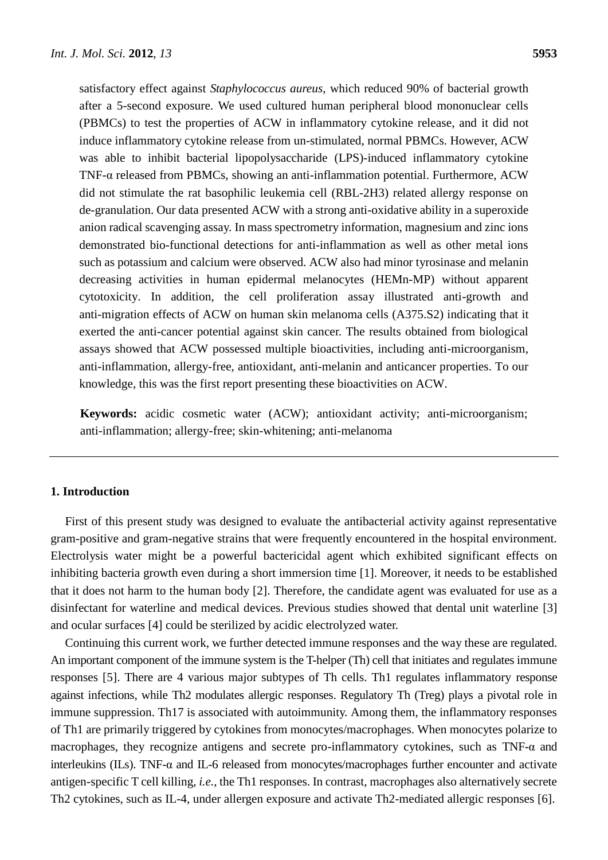satisfactory effect against *Staphylococcus aureus*, which reduced 90% of bacterial growth after a 5-second exposure. We used cultured human peripheral blood mononuclear cells (PBMCs) to test the properties of ACW in inflammatory cytokine release, and it did not induce inflammatory cytokine release from un-stimulated, normal PBMCs. However, ACW was able to inhibit bacterial lipopolysaccharide (LPS)-induced inflammatory cytokine TNF-α released from PBMCs, showing an anti-inflammation potential. Furthermore, ACW did not stimulate the rat basophilic leukemia cell (RBL-2H3) related allergy response on de-granulation. Our data presented ACW with a strong anti-oxidative ability in a superoxide anion radical scavenging assay. In mass spectrometry information, magnesium and zinc ions demonstrated bio-functional detections for anti-inflammation as well as other metal ions such as potassium and calcium were observed. ACW also had minor tyrosinase and melanin decreasing activities in human epidermal melanocytes (HEMn-MP) without apparent cytotoxicity. In addition, the cell proliferation assay illustrated anti-growth and anti-migration effects of ACW on human skin melanoma cells (A375.S2) indicating that it exerted the anti-cancer potential against skin cancer. The results obtained from biological assays showed that ACW possessed multiple bioactivities, including anti-microorganism, anti-inflammation, allergy-free, antioxidant, anti-melanin and anticancer properties. To our knowledge, this was the first report presenting these bioactivities on ACW.

**Keywords:** acidic cosmetic water (ACW); antioxidant activity; anti-microorganism; anti-inflammation; allergy-free; skin-whitening; anti-melanoma

### **1. Introduction**

First of this present study was designed to evaluate the antibacterial activity against representative gram-positive and gram-negative strains that were frequently encountered in the hospital environment. Electrolysis water might be a powerful bactericidal agent which exhibited significant effects on inhibiting bacteria growth even during a short immersion time [1]. Moreover, it needs to be established that it does not harm to the human body [2]. Therefore, the candidate agent was evaluated for use as a disinfectant for waterline and medical devices. Previous studies showed that dental unit waterline [3] and ocular surfaces [4] could be sterilized by acidic electrolyzed water.

Continuing this current work, we further detected immune responses and the way these are regulated. An important component of the immune system is the T-helper (Th) cell that initiates and regulates immune responses [5]. There are 4 various major subtypes of Th cells. Th1 regulates inflammatory response against infections, while Th2 modulates allergic responses. Regulatory Th (Treg) plays a pivotal role in immune suppression. Th17 is associated with autoimmunity. Among them, the inflammatory responses of Th1 are primarily triggered by cytokines from monocytes/macrophages. When monocytes polarize to macrophages, they recognize antigens and secrete pro-inflammatory cytokines, such as TNF-α and interleukins (ILs). TNF-α and IL-6 released from monocytes/macrophages further encounter and activate antigen-specific T cell killing, *i.e.*, the Th1 responses. In contrast, macrophages also alternatively secrete Th2 cytokines, such as IL-4, under allergen exposure and activate Th2-mediated allergic responses [6].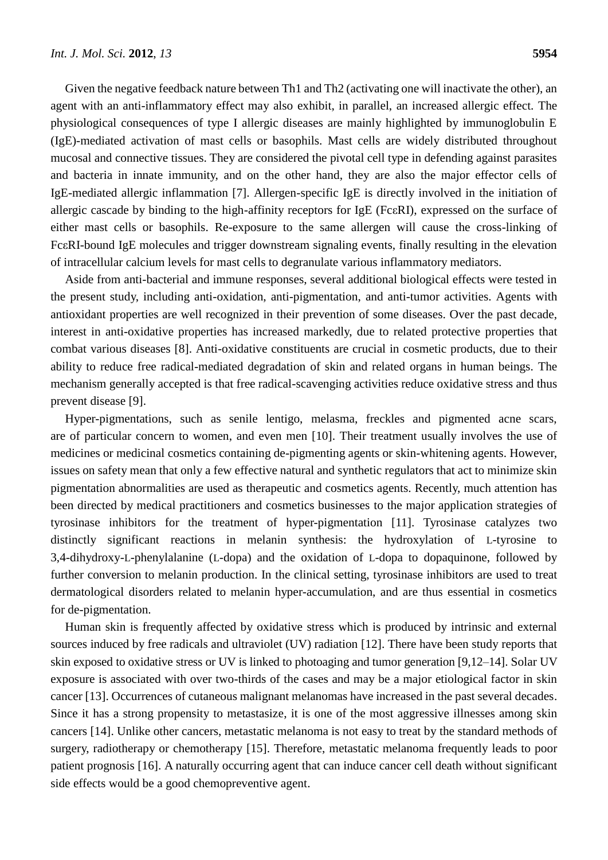Given the negative feedback nature between Th1 and Th2 (activating one will inactivate the other), an agent with an anti-inflammatory effect may also exhibit, in parallel, an increased allergic effect. The physiological consequences of type I allergic diseases are mainly highlighted by immunoglobulin E (IgE)-mediated activation of mast cells or basophils. Mast cells are widely distributed throughout mucosal and connective tissues. They are considered the pivotal cell type in defending against parasites and bacteria in innate immunity, and on the other hand, they are also the major effector cells of IgE-mediated allergic inflammation [7]. Allergen-specific IgE is directly involved in the initiation of allergic cascade by binding to the high-affinity receptors for IgE (FcεRI), expressed on the surface of either mast cells or basophils. Re-exposure to the same allergen will cause the cross-linking of FcεRI-bound IgE molecules and trigger downstream signaling events, finally resulting in the elevation of intracellular calcium levels for mast cells to degranulate various inflammatory mediators.

Aside from anti-bacterial and immune responses, several additional biological effects were tested in the present study, including anti-oxidation, anti-pigmentation, and anti-tumor activities. Agents with antioxidant properties are well recognized in their prevention of some diseases. Over the past decade, interest in anti-oxidative properties has increased markedly, due to related protective properties that combat various diseases [8]. Anti-oxidative constituents are crucial in cosmetic products, due to their ability to reduce free radical-mediated degradation of skin and related organs in human beings. The mechanism generally accepted is that free radical-scavenging activities reduce oxidative stress and thus prevent disease [9].

Hyper-pigmentations, such as senile lentigo, melasma, freckles and pigmented acne scars, are of particular concern to women, and even men [10]. Their treatment usually involves the use of medicines or medicinal cosmetics containing de-pigmenting agents or skin-whitening agents. However, issues on safety mean that only a few effective natural and synthetic regulators that act to minimize skin pigmentation abnormalities are used as therapeutic and cosmetics agents. Recently, much attention has been directed by medical practitioners and cosmetics businesses to the major application strategies of tyrosinase inhibitors for the treatment of hyper-pigmentation [11]. Tyrosinase catalyzes two distinctly significant reactions in melanin synthesis: the hydroxylation of L-tyrosine to 3,4-dihydroxy-L-phenylalanine (L-dopa) and the oxidation of L-dopa to dopaquinone, followed by further conversion to melanin production. In the clinical setting, tyrosinase inhibitors are used to treat dermatological disorders related to melanin hyper-accumulation, and are thus essential in cosmetics for de-pigmentation.

Human skin is frequently affected by oxidative stress which is produced by intrinsic and external sources induced by free radicals and ultraviolet (UV) radiation [12]. There have been study reports that skin exposed to oxidative stress or UV is linked to photoaging and tumor generation [9,12–14]. Solar UV exposure is associated with over two-thirds of the cases and may be a major etiological factor in skin cancer [13]. Occurrences of cutaneous malignant melanomas have increased in the past several decades. Since it has a strong propensity to metastasize, it is one of the most aggressive illnesses among skin cancers [14]. Unlike other cancers, metastatic melanoma is not easy to treat by the standard methods of surgery, radiotherapy or chemotherapy [15]. Therefore, metastatic melanoma frequently leads to poor patient prognosis [16]. A naturally occurring agent that can induce cancer cell death without significant side effects would be a good chemopreventive agent.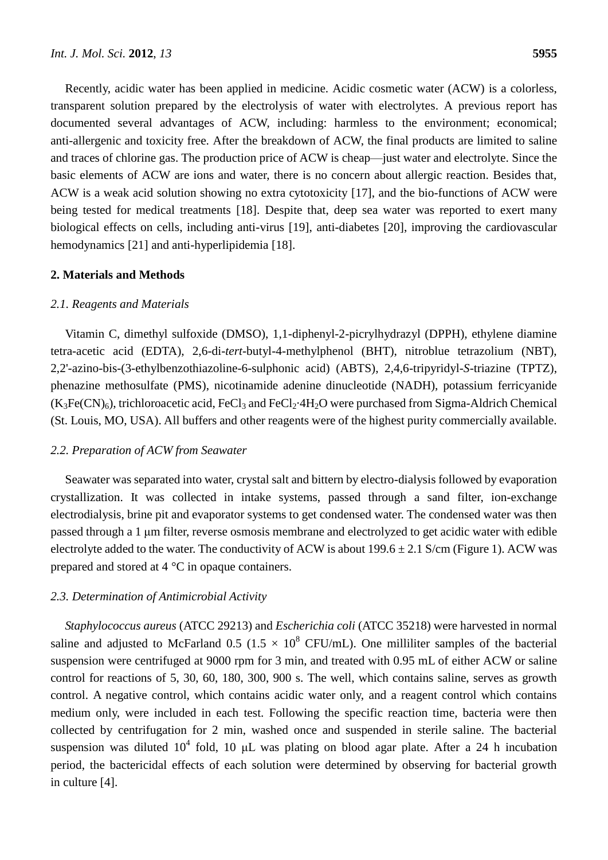Recently, acidic water has been applied in medicine. Acidic cosmetic water (ACW) is a colorless, transparent solution prepared by the electrolysis of water with electrolytes. A previous report has documented several advantages of ACW, including: harmless to the environment; economical; anti-allergenic and toxicity free. After the breakdown of ACW, the final products are limited to saline and traces of chlorine gas. The production price of ACW is cheap—just water and electrolyte. Since the basic elements of ACW are ions and water, there is no concern about allergic reaction. Besides that, ACW is a weak acid solution showing no extra cytotoxicity [17], and the bio-functions of ACW were being tested for medical treatments [18]. Despite that, deep sea water was reported to exert many biological effects on cells, including anti-virus [19], anti-diabetes [20], improving the cardiovascular hemodynamics [21] and anti-hyperlipidemia [18].

#### **2. Materials and Methods**

#### *2.1. Reagents and Materials*

Vitamin C, dimethyl sulfoxide (DMSO), 1,1-diphenyl-2-picrylhydrazyl (DPPH), ethylene diamine tetra-acetic acid (EDTA), 2,6-di-*tert*-butyl-4-methylphenol (BHT), nitroblue tetrazolium (NBT), 2,2'-azino-bis-(3-ethylbenzothiazoline-6-sulphonic acid) (ABTS), 2,4,6-tripyridyl-*S*-triazine (TPTZ), phenazine methosulfate (PMS), nicotinamide adenine dinucleotide (NADH), potassium ferricyanide  $(K_3Fe(CN)<sub>6</sub>)$ , trichloroacetic acid, FeCl<sub>3</sub> and FeCl<sub>2</sub> 4H<sub>2</sub>O were purchased from Sigma-Aldrich Chemical (St. Louis, MO, USA). All buffers and other reagents were of the highest purity commercially available.

#### *2.2. Preparation of ACW from Seawater*

Seawater was separated into water, crystal salt and bittern by electro-dialysis followed by evaporation crystallization. It was collected in intake systems, passed through a sand filter, ion-exchange electrodialysis, brine pit and evaporator systems to get condensed water. The condensed water was then passed through a 1 μm filter, reverse osmosis membrane and electrolyzed to get acidic water with edible electrolyte added to the water. The conductivity of ACW is about 199.6  $\pm$ 2.1 S/cm (Figure 1). ACW was prepared and stored at  $4 \, \degree$ C in opaque containers.

#### *2.3. Determination of Antimicrobial Activity*

*Staphylococcus aureus* (ATCC 29213) and *Escherichia coli* (ATCC 35218) were harvested in normal saline and adjusted to McFarland 0.5 (1.5  $\times$  10<sup>8</sup> CFU/mL). One milliliter samples of the bacterial suspension were centrifuged at 9000 rpm for 3 min, and treated with 0.95 mL of either ACW or saline control for reactions of 5, 30, 60, 180, 300, 900 s. The well, which contains saline, serves as growth control. A negative control, which contains acidic water only, and a reagent control which contains medium only, were included in each test. Following the specific reaction time, bacteria were then collected by centrifugation for 2 min, washed once and suspended in sterile saline. The bacterial suspension was diluted  $10^4$  fold, 10  $\mu$ L was plating on blood agar plate. After a 24 h incubation period, the bactericidal effects of each solution were determined by observing for bacterial growth in culture [4].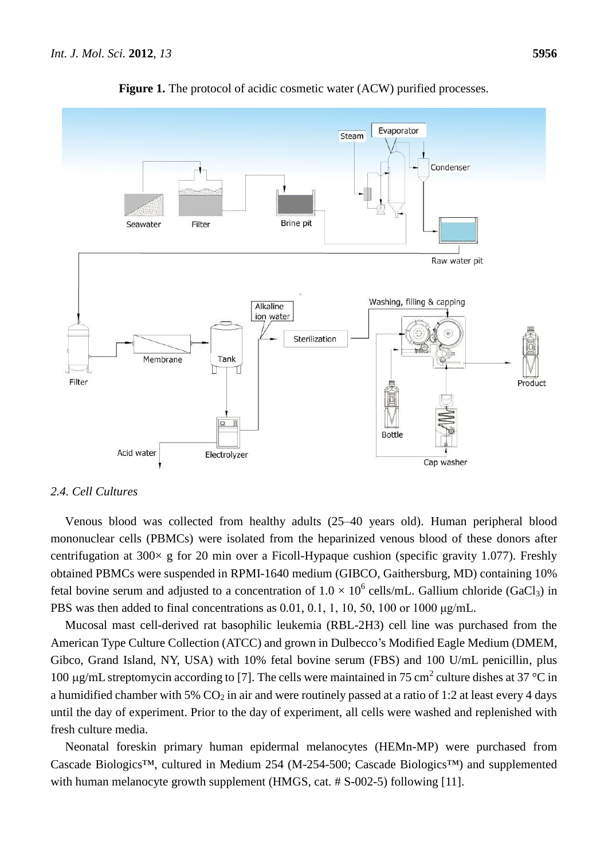

**Figure 1.** The protocol of acidic cosmetic water (ACW) purified processes.

## *2.4. Cell Cultures*

Venous blood was collected from healthy adults (25–40 years old). Human peripheral blood mononuclear cells (PBMCs) were isolated from the heparinized venous blood of these donors after centrifugation at  $300 \times g$  for 20 min over a Ficoll-Hypaque cushion (specific gravity 1.077). Freshly obtained PBMCs were suspended in RPMI-1640 medium (GIBCO, Gaithersburg, MD) containing 10% fetal bovine serum and adjusted to a concentration of  $1.0 \times 10^6$  cells/mL. Gallium chloride (GaCl<sub>3</sub>) in PBS was then added to final concentrations as  $0.01, 0.1, 1, 10, 50, 100$  or  $1000 \mu g/mL$ .

Mucosal mast cell-derived rat basophilic leukemia (RBL-2H3) cell line was purchased from the American Type Culture Collection (ATCC) and grown in Dulbecco's Modified Eagle Medium (DMEM, Gibco, Grand Island, NY, USA) with 10% fetal bovine serum (FBS) and 100 U/mL penicillin, plus 100  $\mu$ g/mL streptomycin according to [7]. The cells were maintained in 75 cm<sup>2</sup> culture dishes at 37 °C in a humidified chamber with 5%  $CO<sub>2</sub>$  in air and were routinely passed at a ratio of 1:2 at least every 4 days until the day of experiment. Prior to the day of experiment, all cells were washed and replenished with fresh culture media.

Neonatal foreskin primary human epidermal melanocytes (HEMn-MP) were purchased from Cascade Biologics™, cultured in Medium 254 (M-254-500; Cascade Biologics™) and supplemented with human melanocyte growth supplement (HMGS, cat. # S-002-5) following [11].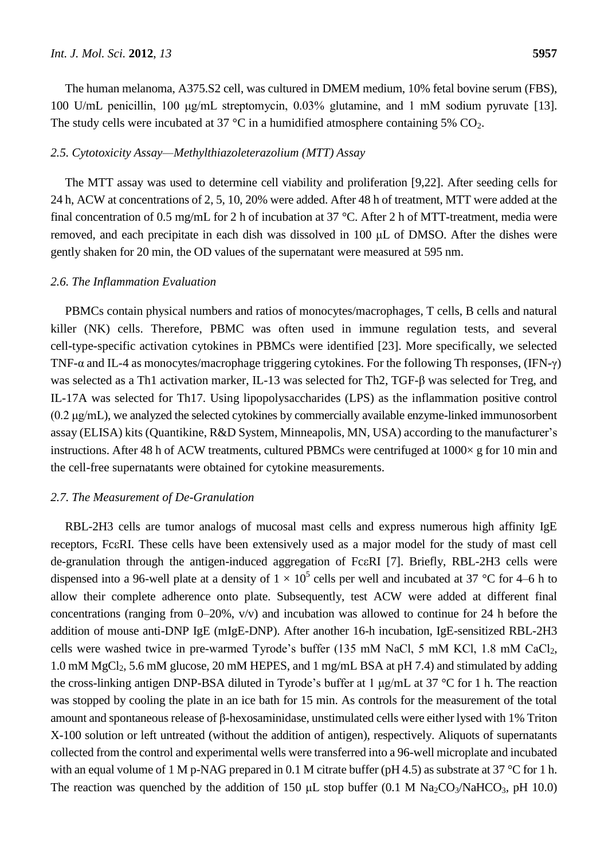The human melanoma, A375.S2 cell, was cultured in DMEM medium, 10% fetal bovine serum (FBS), 100 U/mL penicillin, 100 μg/mL streptomycin, 0.03% glutamine, and 1 mM sodium pyruvate [13]. The study cells were incubated at 37  $\degree$ C in a humidified atmosphere containing 5% CO<sub>2</sub>.

# *2.5. Cytotoxicity Assay—Methylthiazoleterazolium (MTT) Assay*

The MTT assay was used to determine cell viability and proliferation [9,22]. After seeding cells for 24 h, ACW at concentrations of 2, 5, 10, 20% were added. After 48 h of treatment, MTT were added at the final concentration of 0.5 mg/mL for 2 h of incubation at 37 °C. After 2 h of MTT-treatment, media were removed, and each precipitate in each dish was dissolved in 100 μL of DMSO. After the dishes were gently shaken for 20 min, the OD values of the supernatant were measured at 595 nm.

### *2.6. The Inflammation Evaluation*

PBMCs contain physical numbers and ratios of monocytes/macrophages, T cells, B cells and natural killer (NK) cells. Therefore, PBMC was often used in immune regulation tests, and several cell-type-specific activation cytokines in PBMCs were identified [23]. More specifically, we selected TNF-α and IL-4 as monocytes/macrophage triggering cytokines. For the following Th responses, (IFN-γ) was selected as a Th1 activation marker, IL-13 was selected for Th2, TGF-β was selected for Treg, and IL-17A was selected for Th17. Using lipopolysaccharides (LPS) as the inflammation positive control (0.2 μg/mL), we analyzed the selected cytokines by commercially available enzyme-linked immunosorbent assay (ELISA) kits (Quantikine, R&D System, Minneapolis, MN, USA) according to the manufacturer's instructions. After 48 h of ACW treatments, cultured PBMCs were centrifuged at  $1000 \times g$  for 10 min and the cell-free supernatants were obtained for cytokine measurements.

#### *2.7. The Measurement of De-Granulation*

RBL-2H3 cells are tumor analogs of mucosal mast cells and express numerous high affinity IgE receptors, FcRI. These cells have been extensively used as a major model for the study of mast cell de-granulation through the antigen-induced aggregation of FcRI [7]. Briefly, RBL-2H3 cells were dispensed into a 96-well plate at a density of  $1 \times 10^5$  cells per well and incubated at 37 °C for 4–6 h to allow their complete adherence onto plate. Subsequently, test ACW were added at different final concentrations (ranging from 0–20%, v/v) and incubation was allowed to continue for 24 h before the addition of mouse anti-DNP IgE (mIgE-DNP). After another 16-h incubation, IgE-sensitized RBL-2H3 cells were washed twice in pre-warmed Tyrode's buffer  $(135 \text{ mM NaCl}, 5 \text{ mM KCl}, 1.8 \text{ mM CaCl},$ 1.0 mM MgCl2, 5.6 mM glucose, 20 mM HEPES, and 1 mg/mL BSA at pH 7.4) and stimulated by adding the cross-linking antigen DNP-BSA diluted in Tyrode's buffer at 1  $\mu$ g/mL at 37 °C for 1 h. The reaction was stopped by cooling the plate in an ice bath for 15 min. As controls for the measurement of the total amount and spontaneous release of β-hexosaminidase, unstimulated cells were either lysed with 1% Triton X-100 solution or left untreated (without the addition of antigen), respectively. Aliquots of supernatants collected from the control and experimental wells were transferred into a 96-well microplate and incubated with an equal volume of 1 M p-NAG prepared in 0.1 M citrate buffer (pH 4.5) as substrate at 37  $\degree$ C for 1 h. The reaction was quenched by the addition of 150  $\mu$ L stop buffer (0.1 M Na<sub>2</sub>CO<sub>3</sub>/NaHCO<sub>3</sub>, pH 10.0)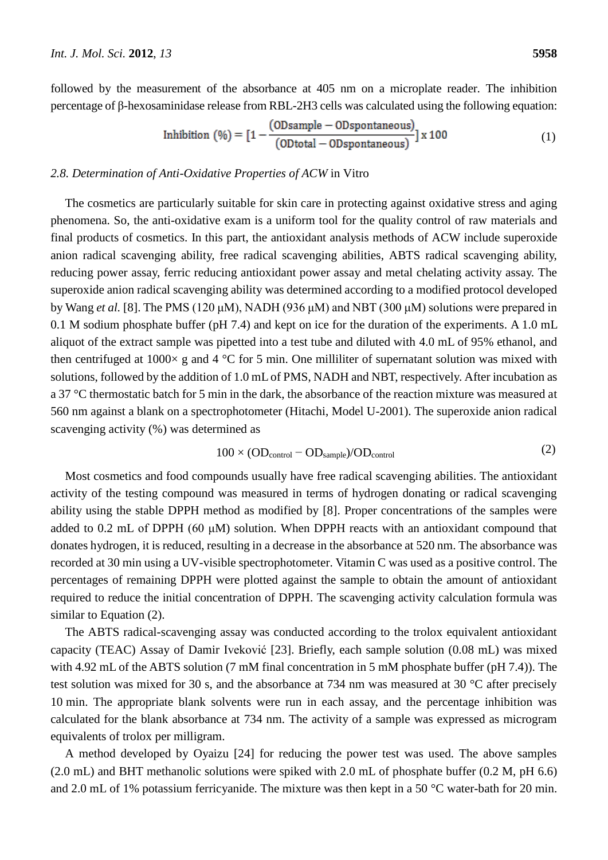followed by the measurement of the absorbance at 405 nm on a microplate reader. The inhibition percentage of β-hexosaminidase release from RBL-2H3 cells was calculated using the following equation:

Inhibition (%) = 
$$
[1 - \frac{(ODsample - ODspontaneous)}{(ODtotal - ODspontaneous)}] x 100
$$
 (1)

## *2.8. Determination of Anti-Oxidative Properties of ACW* in Vitro

The cosmetics are particularly suitable for skin care in protecting against oxidative stress and aging phenomena. So, the anti-oxidative exam is a uniform tool for the quality control of raw materials and final products of cosmetics. In this part, the antioxidant analysis methods of ACW include superoxide anion radical scavenging ability, free radical scavenging abilities, ABTS radical scavenging ability, reducing power assay, ferric reducing antioxidant power assay and metal chelating activity assay. The superoxide anion radical scavenging ability was determined according to a modified protocol developed by Wang *et al.* [8]. The PMS (120 μM), NADH (936 μM) and NBT (300 μM) solutions were prepared in 0.1 M sodium phosphate buffer (pH 7.4) and kept on ice for the duration of the experiments. A 1.0 mL aliquot of the extract sample was pipetted into a test tube and diluted with 4.0 mL of 95% ethanol, and then centrifuged at  $1000 \times g$  and 4 °C for 5 min. One milliliter of supernatant solution was mixed with solutions, followed by the addition of 1.0 mLof PMS, NADH and NBT, respectively. After incubation as a 37 °C thermostatic batch for 5 min in the dark, the absorbance of the reaction mixture was measured at 560 nm against a blank on a spectrophotometer (Hitachi, Model U-2001). The superoxide anion radical scavenging activity (%) was determined as

$$
100 \times (OD_{control} - OD_{sample}) / OD_{control}
$$
 (2)

Most cosmetics and food compounds usually have free radical scavenging abilities. The antioxidant activity of the testing compound was measured in terms of hydrogen donating or radical scavenging ability using the stable DPPH method as modified by [8]. Proper concentrations of the samples were added to 0.2 mL of DPPH (60 μM) solution. When DPPH reacts with an antioxidant compound that donates hydrogen, it is reduced, resulting in a decrease in the absorbance at 520 nm. The absorbance was recorded at 30 min using a UV-visible spectrophotometer. Vitamin C was used as a positive control. The percentages of remaining DPPH were plotted against the sample to obtain the amount of antioxidant required to reduce the initial concentration of DPPH. The scavenging activity calculation formula was similar to Equation (2).

The ABTS radical-scavenging assay was conducted according to the trolox equivalent antioxidant capacity (TEAC) Assay of Damir Iveković [23]. Briefly, each sample solution (0.08 mL) was mixed with 4.92 mL of the ABTS solution (7 mM final concentration in 5 mM phosphate buffer (pH 7.4)). The test solution was mixed for 30 s, and the absorbance at 734 nm was measured at 30  $\degree$ C after precisely 10 min. The appropriate blank solvents were run in each assay, and the percentage inhibition was calculated for the blank absorbance at 734 nm. The activity of a sample was expressed as microgram equivalents of trolox per milligram.

A method developed by Oyaizu [24] for reducing the power test was used. The above samples (2.0 mL) and BHT methanolic solutions were spiked with 2.0 mL of phosphate buffer (0.2 M, pH 6.6) and 2.0 mL of 1% potassium ferricyanide. The mixture was then kept in a 50  $\degree$ C water-bath for 20 min.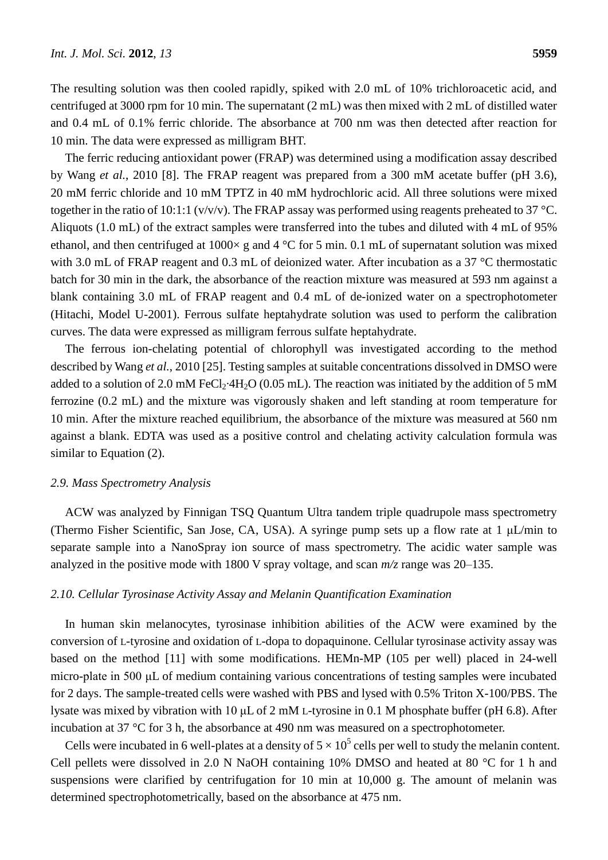The resulting solution was then cooled rapidly, spiked with 2.0 mL of 10% trichloroacetic acid, and centrifuged at 3000 rpm for 10 min. The supernatant (2 mL) was then mixed with 2 mL of distilled water and 0.4 mL of 0.1% ferric chloride. The absorbance at 700 nm was then detected after reaction for 10 min. The data were expressed as milligram BHT.

The ferric reducing antioxidant power (FRAP) was determined using a modification assay described by Wang *et al.*, 2010 [8]. The FRAP reagent was prepared from a 300 mM acetate buffer (pH 3.6), 20 mM ferric chloride and 10 mM TPTZ in 40 mM hydrochloric acid. All three solutions were mixed together in the ratio of 10:1:1 (v/v/v). The FRAP assay was performed using reagents preheated to 37 °C. Aliquots (1.0 mL) of the extract samples were transferred into the tubes and diluted with 4 mL of 95% ethanol, and then centrifuged at  $1000 \times g$  and 4 °C for 5 min. 0.1 mL of supernatant solution was mixed with 3.0 mL of FRAP reagent and 0.3 mL of deionized water. After incubation as a 37 °C thermostatic batch for 30 min in the dark, the absorbance of the reaction mixture was measured at 593 nm against a blank containing 3.0 mL of FRAP reagent and 0.4 mL of de-ionized water on a spectrophotometer (Hitachi, Model U-2001). Ferrous sulfate heptahydrate solution was used to perform the calibration curves. The data were expressed as milligram ferrous sulfate heptahydrate.

The ferrous ion-chelating potential of chlorophyll was investigated according to the method described by Wang *et al.*, 2010 [25]. Testing samples at suitable concentrations dissolved in DMSO were added to a solution of 2.0 mM FeCl<sub>2</sub> 4H<sub>2</sub>O (0.05 mL). The reaction was initiated by the addition of 5 mM ferrozine (0.2 mL) and the mixture was vigorously shaken and left standing at room temperature for 10 min. After the mixture reached equilibrium, the absorbance of the mixture was measured at 560 nm against a blank. EDTA was used as a positive control and chelating activity calculation formula was similar to Equation (2).

#### *2.9. Mass Spectrometry Analysis*

ACW was analyzed by Finnigan TSQ Quantum Ultra tandem triple quadrupole mass spectrometry (Thermo Fisher Scientific, San Jose, CA, USA). A syringe pump sets up a flow rate at 1 μL/min to separate sample into a NanoSpray ion source of mass spectrometry. The acidic water sample was analyzed in the positive mode with 1800 V spray voltage, and scan *m/z* range was 20–135.

#### *2.10. Cellular Tyrosinase Activity Assay and Melanin Quantification Examination*

In human skin melanocytes, tyrosinase inhibition abilities of the ACW were examined by the conversion of L-tyrosine and oxidation of L-dopa to dopaquinone. Cellular tyrosinase activity assay was based on the method [11] with some modifications. HEMn-MP (105 per well) placed in 24-well micro-plate in 500 μL of medium containing various concentrations of testing samples were incubated for 2 days. The sample-treated cells were washed with PBS and lysed with 0.5% Triton X-100/PBS. The lysate was mixed by vibration with 10 μL of 2 mM L-tyrosine in 0.1 M phosphate buffer (pH 6.8). After incubation at 37  $\mathcal C$  for 3 h, the absorbance at 490 nm was measured on a spectrophotometer.

Cells were incubated in 6 well-plates at a density of  $5 \times 10^5$  cells per well to study the melanin content. Cell pellets were dissolved in 2.0 N NaOH containing 10% DMSO and heated at 80  $\degree$ C for 1 h and suspensions were clarified by centrifugation for 10 min at 10,000 g. The amount of melanin was determined spectrophotometrically, based on the absorbance at 475 nm.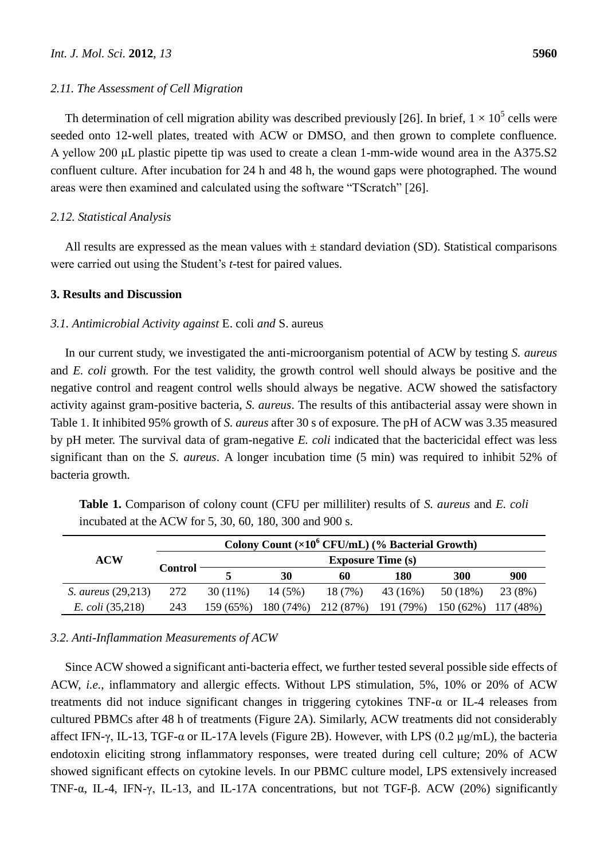#### *2.11. The Assessment of Cell Migration*

Th determination of cell migration ability was described previously [26]. In brief,  $1 \times 10^5$  cells were seeded onto 12-well plates, treated with ACW or DMSO, and then grown to complete confluence. A yellow 200 μL plastic pipette tip was used to create a clean 1-mm-wide wound area in the A375.S2 confluent culture. After incubation for 24 h and 48 h, the wound gaps were photographed. The wound areas were then examined and calculated using the software "TScratch" [26].

#### *2.12. Statistical Analysis*

All results are expressed as the mean values with  $\pm$  standard deviation (SD). Statistical comparisons were carried out using the Student's *t*-test for paired values.

#### **3. Results and Discussion**

#### *3.1. Antimicrobial Activity against* E. coli *and* S. aureus

In our current study, we investigated the anti-microorganism potential of ACW by testing *S. aureus* and *E. coli* growth. For the test validity, the growth control well should always be positive and the negative control and reagent control wells should always be negative. ACW showed the satisfactory activity against gram-positive bacteria, *S. aureus*. The results of this antibacterial assay were shown in Table 1. It inhibited 95% growth of *S. aureus* after 30 s of exposure. The pH of ACW was 3.35 measured by pH meter. The survival data of gram-negative *E. coli* indicated that the bactericidal effect was less significant than on the *S. aureus*. A longer incubation time (5 min) was required to inhibit 52% of bacteria growth.

| <b>Table 1.</b> Comparison of colony count (CFU per milliliter) results of S. aureus and E. coli |  |
|--------------------------------------------------------------------------------------------------|--|
| incubated at the ACW for 5, 30, 60, 180, 300 and 900 s.                                          |  |

|                           | Colony Count $(\times 10^6$ CFU/mL) (% Bacterial Growth) |            |           |           |           |          |          |  |  |  |
|---------------------------|----------------------------------------------------------|------------|-----------|-----------|-----------|----------|----------|--|--|--|
| <b>ACW</b>                | <b>Exposure Time (s)</b>                                 |            |           |           |           |          |          |  |  |  |
|                           | <b>Control</b>                                           |            | 30        | 60        | 180       | 300      | 900      |  |  |  |
| <i>S. aureus</i> (29,213) | 272                                                      | $30(11\%)$ | 14 (5%)   | 18 (7%)   | 43 (16%)  | 50 (18%) | 23 (8%)  |  |  |  |
| <i>E. coli</i> (35,218)   | 243                                                      | 159 (65%)  | 180 (74%) | 212 (87%) | 191 (79%) | 150(62%) | 117(48%) |  |  |  |

#### *3.2. Anti-Inflammation Measurements of ACW*

Since ACW showed a significant anti-bacteria effect, we further tested several possible side effects of ACW, *i.e.*, inflammatory and allergic effects. Without LPS stimulation, 5%, 10% or 20% of ACW treatments did not induce significant changes in triggering cytokines TNF-α or IL-4 releases from cultured PBMCs after 48 h of treatments (Figure 2A). Similarly, ACW treatments did not considerably affect IFN-γ, IL-13, TGF-α or IL-17A levels (Figure 2B). However, with LPS (0.2 μg/mL), the bacteria endotoxin eliciting strong inflammatory responses, were treated during cell culture; 20% of ACW showed significant effects on cytokine levels. In our PBMC culture model, LPS extensively increased TNF-α, IL-4, IFN-γ, IL-13, and IL-17A concentrations, but not TGF-β. ACW (20%) significantly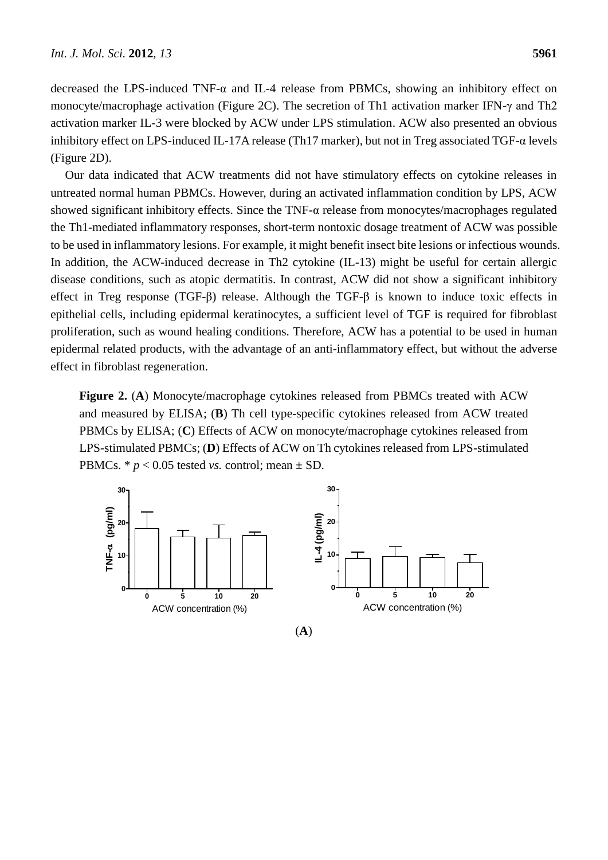decreased the LPS-induced TNF-α and IL-4 release from PBMCs, showing an inhibitory effect on monocyte/macrophage activation (Figure 2C). The secretion of Th1 activation marker IFN-γ and Th2 activation marker IL-3 were blocked by ACW under LPS stimulation. ACW also presented an obvious inhibitory effect on LPS-induced IL-17A release (Th17 marker), but not in Treg associated TGF-α levels (Figure 2D).

Our data indicated that ACW treatments did not have stimulatory effects on cytokine releases in untreated normal human PBMCs. However, during an activated inflammation condition by LPS, ACW showed significant inhibitory effects. Since the TNF-α release from monocytes/macrophages regulated the Th1-mediated inflammatory responses, short-term nontoxic dosage treatment of ACW was possible to be used in inflammatory lesions. For example, it might benefit insect bite lesions or infectious wounds. In addition, the ACW-induced decrease in Th2 cytokine (IL-13) might be useful for certain allergic disease conditions, such as atopic dermatitis. In contrast, ACW did not show a significant inhibitory effect in Treg response (TGF-β) release. Although the TGF-β is known to induce toxic effects in epithelial cells, including epidermal keratinocytes, a sufficient level of TGF is required for fibroblast proliferation, such as wound healing conditions. Therefore, ACW has a potential to be used in human epidermal related products, with the advantage of an anti-inflammatory effect, but without the adverse effect in fibroblast regeneration.

**Figure 2.** (**A**) Monocyte/macrophage cytokines released from PBMCs treated with ACW and measured by ELISA; (**B**) Th cell type-specific cytokines released from ACW treated PBMCs by ELISA; (**C**) Effects of ACW on monocyte/macrophage cytokines released from LPS-stimulated PBMCs; (**D**) Effects of ACW on Th cytokines released from LPS-stimulated PBMCs.  $* p < 0.05$  tested *vs.* control; mean  $\pm$  SD.

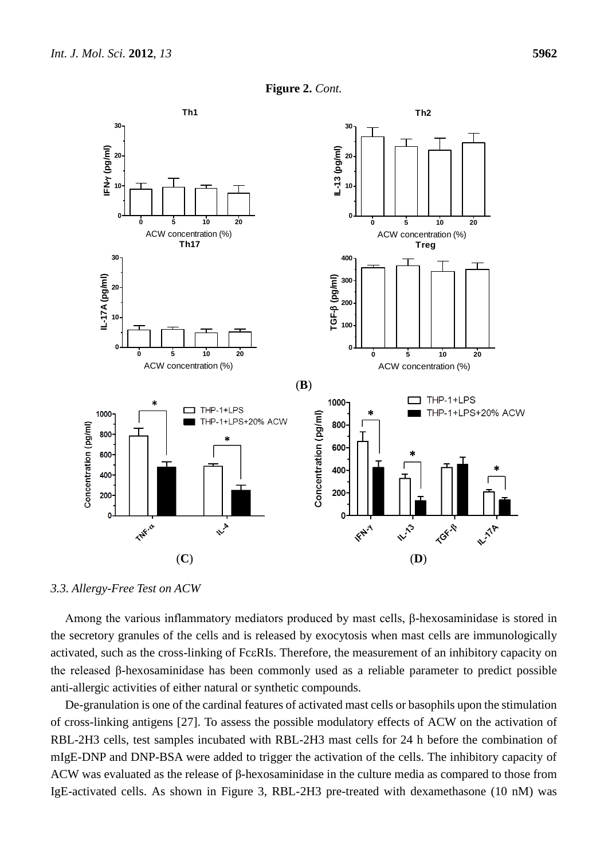





*3.3. Allergy-Free Test on ACW*

Among the various inflammatory mediators produced by mast cells, β-hexosaminidase is stored in the secretory granules of the cells and is released by exocytosis when mast cells are immunologically activated, such as the cross-linking of FcRIs. Therefore, the measurement of an inhibitory capacity on the released β-hexosaminidase has been commonly used as a reliable parameter to predict possible anti-allergic activities of either natural or synthetic compounds.

De-granulation is one of the cardinal features of activated mast cells or basophils upon the stimulation of cross-linking antigens [27]. To assess the possible modulatory effects of ACW on the activation of RBL-2H3 cells, test samples incubated with RBL-2H3 mast cells for 24 h before the combination of mIgE-DNP and DNP-BSA were added to trigger the activation of the cells. The inhibitory capacity of ACW was evaluated as the release of β-hexosaminidase in the culture media as compared to those from IgE-activated cells. As shown in Figure 3, RBL-2H3 pre-treated with dexamethasone (10 nM) was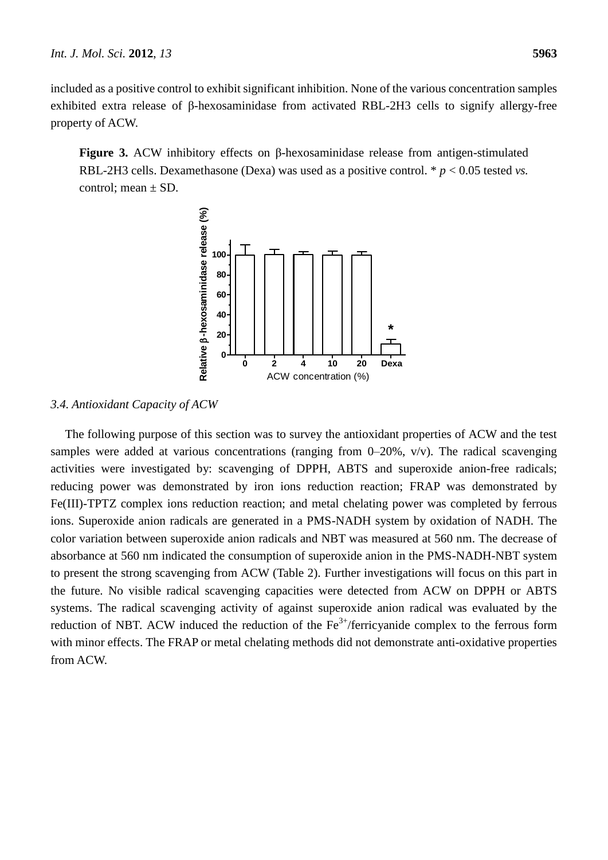included as a positive control to exhibit significant inhibition. None of the various concentration samples exhibited extra release of β-hexosaminidase from activated RBL-2H3 cells to signify allergy-free property of ACW.

**Figure 3.** ACW inhibitory effects on β-hexosaminidase release from antigen-stimulated RBL-2H3 cells. Dexamethasone (Dexa) was used as a positive control. \* *p* < 0.05 tested *vs.* control; mean  $\pm$  SD.



*3.4. Antioxidant Capacity of ACW*

The following purpose of this section was to survey the antioxidant properties of ACW and the test samples were added at various concentrations (ranging from 0–20%, v/v). The radical scavenging activities were investigated by: scavenging of DPPH, ABTS and superoxide anion-free radicals; reducing power was demonstrated by iron ions reduction reaction; FRAP was demonstrated by Fe(III)-TPTZ complex ions reduction reaction; and metal chelating power was completed by ferrous ions. Superoxide anion radicals are generated in a PMS-NADH system by oxidation of NADH. The color variation between superoxide anion radicals and NBT was measured at 560 nm. The decrease of absorbance at 560 nm indicated the consumption of superoxide anion in the PMS-NADH-NBT system to present the strong scavenging from ACW (Table 2). Further investigations will focus on this part in the future. No visible radical scavenging capacities were detected from ACW on DPPH or ABTS systems. The radical scavenging activity of against superoxide anion radical was evaluated by the reduction of NBT. ACW induced the reduction of the  $Fe<sup>3+</sup>/ferric$  vanide complex to the ferrous form with minor effects. The FRAP or metal chelating methods did not demonstrate anti-oxidative properties from ACW.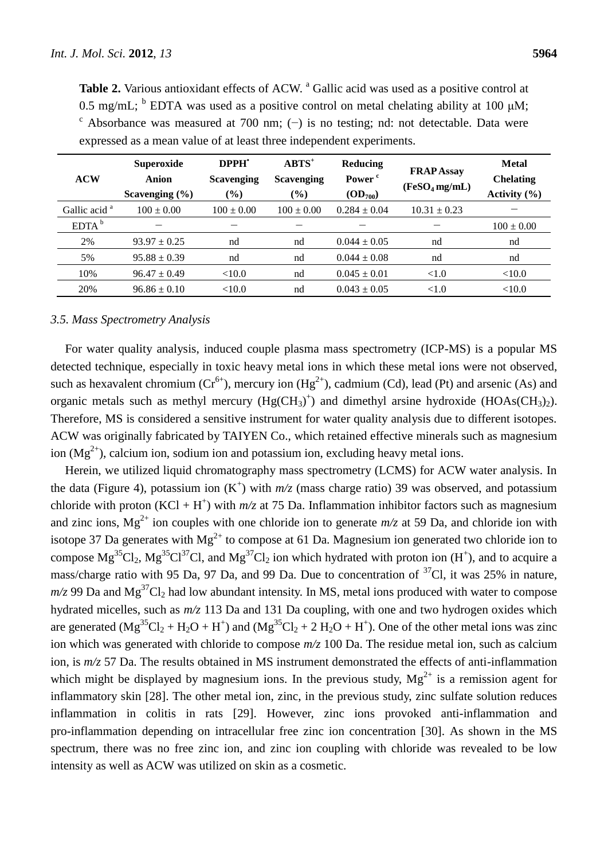Table 2. Various antioxidant effects of ACW. <sup>a</sup> Gallic acid was used as a positive control at 0.5 mg/mL;  $<sup>b</sup>$  EDTA was used as a positive control on metal chelating ability at 100  $\mu$ M;</sup>  $\textdegree$  Absorbance was measured at 700 nm; (-) is no testing; nd: not detectable. Data were expressed as a mean value of at least three independent experiments.

| <b>ACW</b>               | <b>Superoxide</b><br>Anion<br>Scavenging $(\% )$ | DPPH'<br><b>Scavenging</b><br>(%) | $ABTS^+$<br><b>Scavenging</b><br>$\frac{6}{6}$ | Reducing<br>Power <sup>c</sup><br>$(OD_{700})$ | <b>FRAP Assay</b><br>$(FeSO_4mg/mL)$ | Metal<br><b>Chelating</b><br>Activity $(\% )$ |
|--------------------------|--------------------------------------------------|-----------------------------------|------------------------------------------------|------------------------------------------------|--------------------------------------|-----------------------------------------------|
| Gallic acid <sup>a</sup> | $100 \pm 0.00$                                   | $100 \pm 0.00$                    | $100 \pm 0.00$                                 | $0.284 \pm 0.04$                               | $10.31 \pm 0.23$                     |                                               |
| EDTA <sup>b</sup>        |                                                  |                                   |                                                |                                                |                                      | $100 \pm 0.00$                                |
| 2%                       | $93.97 \pm 0.25$                                 | nd                                | nd                                             | $0.044 \pm 0.05$                               | nd                                   | nd                                            |
| 5%                       | $95.88 \pm 0.39$                                 | nd                                | nd                                             | $0.044 \pm 0.08$                               | nd                                   | nd                                            |
| 10%                      | $96.47 \pm 0.49$                                 | <10.0                             | nd                                             | $0.045 \pm 0.01$                               | < 1.0                                | < 10.0                                        |
| 20%                      | $96.86 \pm 0.10$                                 | < 10.0                            | nd                                             | $0.043 \pm 0.05$                               | <1.0                                 | ${<}10.0$                                     |

## *3.5. Mass Spectrometry Analysis*

For water quality analysis, induced couple plasma mass spectrometry (ICP-MS) is a popular MS detected technique, especially in toxic heavy metal ions in which these metal ions were not observed, such as hexavalent chromium  $(Cr^{6+})$ , mercury ion  $(Hg^{2+})$ , cadmium (Cd), lead (Pt) and arsenic (As) and organic metals such as methyl mercury  $(Hg(CH_3)^+)$  and dimethyl arsine hydroxide  $(HOAs(CH_3)_2)$ . Therefore, MS is considered a sensitive instrument for water quality analysis due to different isotopes. ACW was originally fabricated by TAIYEN Co., which retained effective minerals such as magnesium ion ( $Mg^{2+}$ ), calcium ion, sodium ion and potassium ion, excluding heavy metal ions.

Herein, we utilized liquid chromatography mass spectrometry (LCMS) for ACW water analysis. In the data (Figure 4), potassium ion  $(K^+)$  with  $m/z$  (mass charge ratio) 39 was observed, and potassium chloride with proton  $(KCl + H^+)$  with  $m/z$  at 75 Da. Inflammation inhibitor factors such as magnesium and zinc ions,  $Mg^{2+}$  ion couples with one chloride ion to generate  $m/z$  at 59 Da, and chloride ion with isotope 37 Da generates with  $Mg^{2+}$  to compose at 61 Da. Magnesium ion generated two chloride ion to compose  $Mg^{35}Cl_2$ ,  $Mg^{35}Cl^{37}Cl$ , and  $Mg^{37}Cl_2$  ion which hydrated with proton ion (H<sup>+</sup>), and to acquire a mass/charge ratio with 95 Da, 97 Da, and 99 Da. Due to concentration of <sup>37</sup>Cl, it was 25% in nature,  $m/z$  99 Da and  $Mg<sup>37</sup>Cl<sub>2</sub>$  had low abundant intensity. In MS, metal ions produced with water to compose hydrated micelles, such as *m/z* 113 Da and 131 Da coupling, with one and two hydrogen oxides which are generated  $(Mg^{35}Cl_2 + H_2O + H^+)$  and  $(Mg^{35}Cl_2 + 2 H_2O + H^+)$ . One of the other metal ions was zinc ion which was generated with chloride to compose *m/z* 100 Da. The residue metal ion, such as calcium ion, is *m/z* 57 Da. The results obtained in MS instrument demonstrated the effects of anti-inflammation which might be displayed by magnesium ions. In the previous study,  $Mg^{2+}$  is a remission agent for inflammatory skin [28]. The other metal ion, zinc, in the previous study, zinc sulfate solution reduces inflammation in colitis in rats [29]. However, zinc ions provoked anti-inflammation and pro-inflammation depending on intracellular free zinc ion concentration [30]. As shown in the MS spectrum, there was no free zinc ion, and zinc ion coupling with chloride was revealed to be low intensity as well as ACW was utilized on skin as a cosmetic.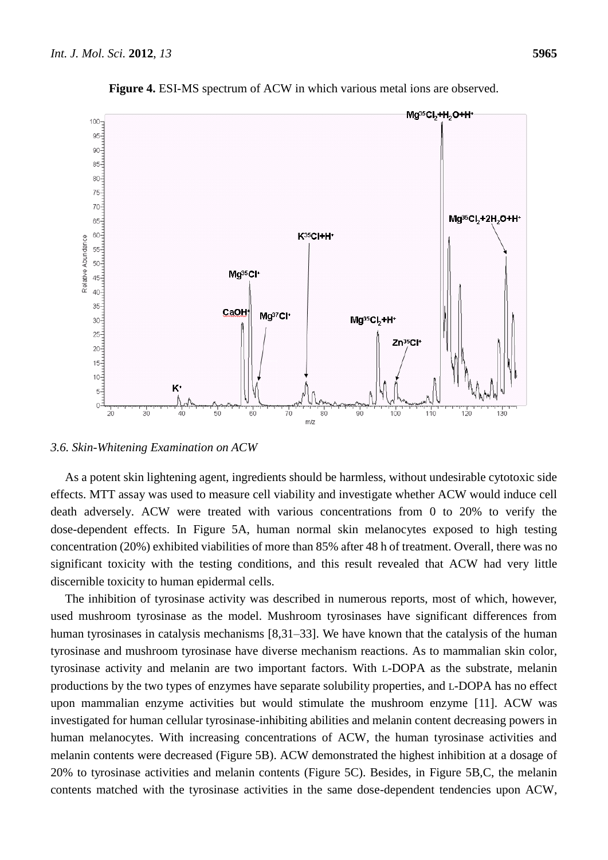

**Figure 4.** ESI-MS spectrum of ACW in which various metal ions are observed.

*3.6. Skin-Whitening Examination on ACW*

As a potent skin lightening agent, ingredients should be harmless, without undesirable cytotoxic side effects. MTT assay was used to measure cell viability and investigate whether ACW would induce cell death adversely. ACW were treated with various concentrations from 0 to 20% to verify the dose-dependent effects. In Figure 5A, human normal skin melanocytes exposed to high testing concentration (20%) exhibited viabilities of more than 85% after 48 h of treatment. Overall, there was no significant toxicity with the testing conditions, and this result revealed that ACW had very little discernible toxicity to human epidermal cells.

The inhibition of tyrosinase activity was described in numerous reports, most of which, however, used mushroom tyrosinase as the model. Mushroom tyrosinases have significant differences from human tyrosinases in catalysis mechanisms [8,31–33]. We have known that the catalysis of the human tyrosinase and mushroom tyrosinase have diverse mechanism reactions. As to mammalian skin color, tyrosinase activity and melanin are two important factors. With L-DOPA as the substrate, melanin productions by the two types of enzymes have separate solubility properties, and L-DOPA has no effect upon mammalian enzyme activities but would stimulate the mushroom enzyme [11]. ACW was investigated for human cellular tyrosinase-inhibiting abilities and melanin content decreasing powers in human melanocytes. With increasing concentrations of ACW, the human tyrosinase activities and melanin contents were decreased (Figure 5B). ACW demonstrated the highest inhibition at a dosage of 20% to tyrosinase activities and melanin contents (Figure 5C). Besides, in Figure 5B,C, the melanin contents matched with the tyrosinase activities in the same dose-dependent tendencies upon ACW,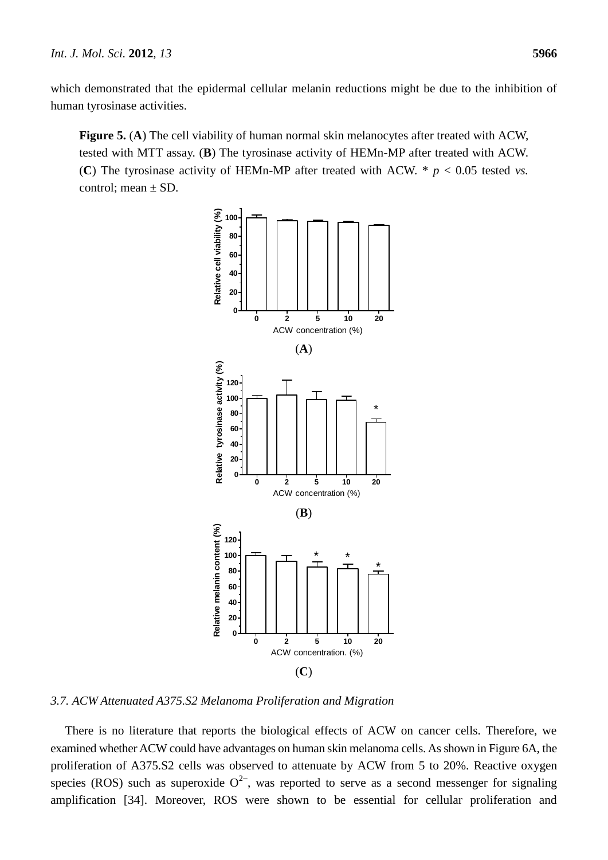which demonstrated that the epidermal cellular melanin reductions might be due to the inhibition of human tyrosinase activities.

**Figure 5.** (**A**) The cell viability of human normal skin melanocytes after treated with ACW, tested with MTT assay. (**B**) The tyrosinase activity of HEMn-MP after treated with ACW. (**C**) The tyrosinase activity of HEMn-MP after treated with ACW.  $*$   $p < 0.05$  tested *vs*. control; mean  $\pm$  SD.



*3.7. ACW Attenuated A375.S2 Melanoma Proliferation and Migration* 

There is no literature that reports the biological effects of ACW on cancer cells. Therefore, we examined whether ACW could have advantages on human skin melanoma cells. As shown in Figure 6A, the proliferation of A375.S2 cells was observed to attenuate by ACW from 5 to 20%. Reactive oxygen species (ROS) such as superoxide  $O^{2-}$ , was reported to serve as a second messenger for signaling amplification [34]. Moreover, ROS were shown to be essential for cellular proliferation and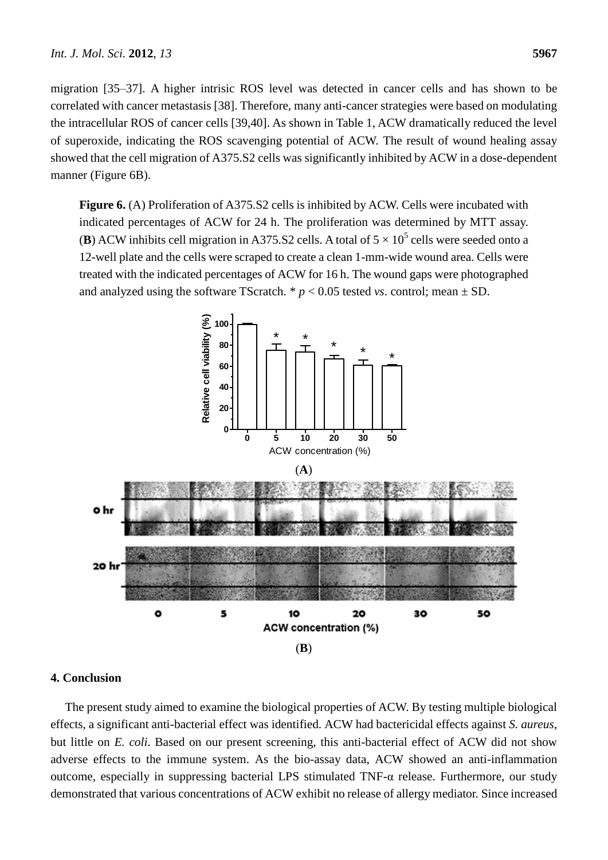migration [35–37]. A higher intrisic ROS level was detected in cancer cells and has shown to be correlated with cancer metastasis [38]. Therefore, many anti-cancer strategies were based on modulating the intracellular ROS of cancer cells [39,40]. As shown in Table 1, ACW dramatically reduced the level of superoxide, indicating the ROS scavenging potential of ACW. The result of wound healing assay showed that the cell migration of A375.S2 cells was significantly inhibited by ACW in a dose-dependent manner (Figure 6B).

**Figure 6.** (A) Proliferation of A375.S2 cells is inhibited by ACW. Cells were incubated with indicated percentages of ACW for 24 h. The proliferation was determined by MTT assay. **(B)** ACW inhibits cell migration in A375.S2 cells. A total of  $5 \times 10^5$  cells were seeded onto a 12-well plate and the cells were scraped to create a clean 1-mm-wide wound area. Cells were treated with the indicated percentages of ACW for 16 h. The wound gaps were photographed and analyzed using the software TScratch.  $* p < 0.05$  tested *vs*. control; mean  $\pm$  SD.



# **4. Conclusion**

The present study aimed to examine the biological properties of ACW. By testing multiple biological effects, a significant anti-bacterial effect was identified. ACW had bactericidal effects against *S. aureus*, but little on *E. coli*. Based on our present screening, this anti-bacterial effect of ACW did not show adverse effects to the immune system. As the bio-assay data, ACW showed an anti-inflammation outcome, especially in suppressing bacterial LPS stimulated TNF-α release. Furthermore, our study demonstrated that various concentrations of ACW exhibit no release of allergy mediator. Since increased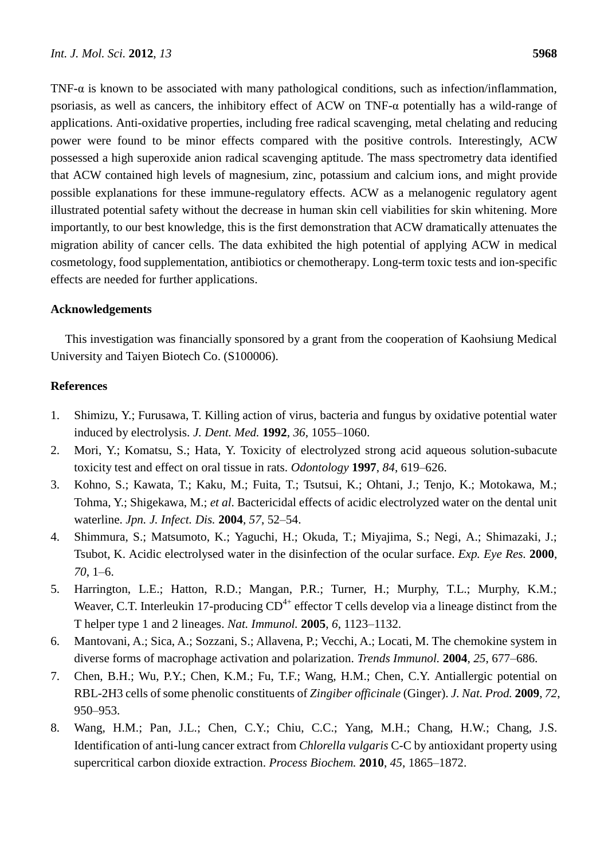TNF- $\alpha$  is known to be associated with many pathological conditions, such as infection/inflammation, psoriasis, as well as cancers, the inhibitory effect of ACW on TNF-α potentially has a wild-range of applications. Anti-oxidative properties, including free radical scavenging, metal chelating and reducing power were found to be minor effects compared with the positive controls. Interestingly, ACW possessed a high superoxide anion radical scavenging aptitude. The mass spectrometry data identified that ACW contained high levels of magnesium, zinc, potassium and calcium ions, and might provide possible explanations for these immune-regulatory effects. ACW as a melanogenic regulatory agent illustrated potential safety without the decrease in human skin cell viabilities for skin whitening. More importantly, to our best knowledge, this is the first demonstration that ACW dramatically attenuates the migration ability of cancer cells. The data exhibited the high potential of applying ACW in medical cosmetology, food supplementation, antibiotics or chemotherapy. Long-term toxic tests and ion-specific effects are needed for further applications.

#### **Acknowledgements**

This investigation was financially sponsored by a grant from the cooperation of Kaohsiung Medical University and Taiyen Biotech Co. (S100006).

# **References**

- 1. Shimizu, Y.; Furusawa, T. Killing action of virus, bacteria and fungus by oxidative potential water induced by electrolysis. *J. Dent. Med.* **1992**, *36*, 1055–1060.
- 2. Mori, Y.; Komatsu, S.; Hata, Y. Toxicity of electrolyzed strong acid aqueous solution-subacute toxicity test and effect on oral tissue in rats. *Odontology* **1997**, *84*, 619–626.
- 3. Kohno, S.; Kawata, T.; Kaku, M.; Fuita, T.; Tsutsui, K.; Ohtani, J.; Tenjo, K.; Motokawa, M.; Tohma, Y.; Shigekawa, M.; *et al*. Bactericidal effects of acidic electrolyzed water on the dental unit waterline. *Jpn. J. Infect. Dis.* **2004**, *57*, 52–54.
- 4. Shimmura, S.; Matsumoto, K.; Yaguchi, H.; Okuda, T.; Miyajima, S.; Negi, A.; Shimazaki, J.; Tsubot, K. Acidic electrolysed water in the disinfection of the ocular surface. *Exp. Eye Res.* **2000**, *70*, 1–6.
- 5. Harrington, L.E.; Hatton, R.D.; Mangan, P.R.; Turner, H.; Murphy, T.L.; Murphy, K.M.; Weaver, C.T. Interleukin 17-producing  $CD^{4+}$  effector T cells develop via a lineage distinct from the T helper type 1 and 2 lineages. *Nat. Immunol.* **2005**, *6*, 1123–1132.
- 6. Mantovani, A.; Sica, A.; Sozzani, S.; Allavena, P.; Vecchi, A.; Locati, M. The chemokine system in diverse forms of macrophage activation and polarization. *Trends Immunol.* **2004**, *25*, 677–686.
- 7. Chen, B.H.; Wu, P.Y.; Chen, K.M.; Fu, T.F.; Wang, H.M.; Chen, C.Y. Antiallergic potential on RBL-2H3 cells of some phenolic constituents of *Zingiber officinale* (Ginger). *J. Nat. Prod.* **2009**, *72*, 950–953.
- 8. Wang, H.M.; Pan, J.L.; Chen, C.Y.; Chiu, C.C.; Yang, M.H.; Chang, H.W.; Chang, J.S. Identification of anti-lung cancer extract from *Chlorella vulgaris* C-C by antioxidant property using supercritical carbon dioxide extraction. *Process Biochem.* **2010**, *45*, 1865–1872.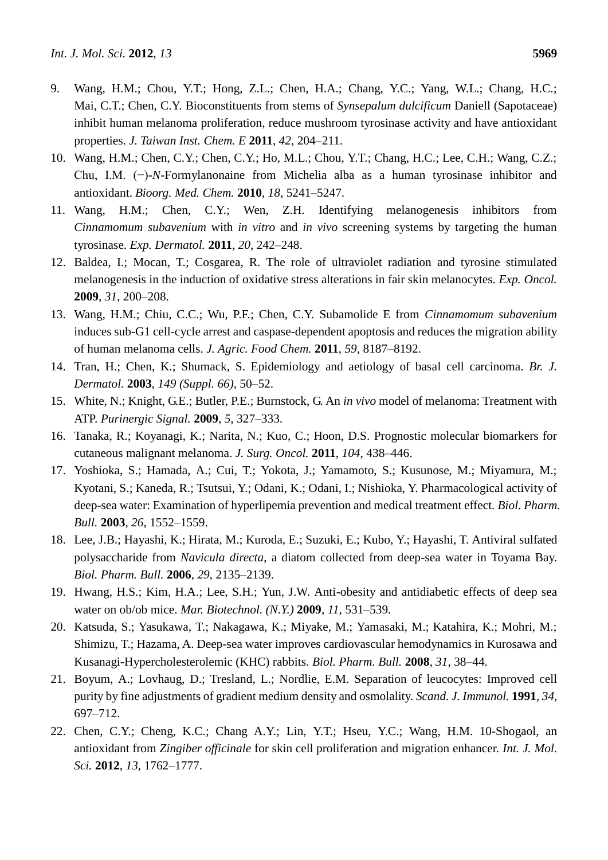- 9. Wang, H.M.; Chou, Y.T.; Hong, Z.L.; Chen, H.A.; Chang, Y.C.; Yang, W.L.; Chang, H.C.; Mai, C.T.; Chen, C.Y. Bioconstituents from stems of *Synsepalum dulcificum* Daniell (Sapotaceae) inhibit human melanoma proliferation, reduce mushroom tyrosinase activity and have antioxidant properties. *J. Taiwan Inst. Chem. E* **2011**, *42*, 204–211.
- 10. Wang, H.M.; Chen, C.Y.; Chen, C.Y.; Ho, M.L.; Chou, Y.T.; Chang, H.C.; Lee, C.H.; Wang, C.Z.; Chu, I.M. (−)-*N*-Formylanonaine from Michelia alba as a human tyrosinase inhibitor and antioxidant. *Bioorg. Med. Chem.* **2010**, *18*, 5241–5247.
- 11. Wang, H.M.; Chen, C.Y.; Wen, Z.H. Identifying melanogenesis inhibitors from *Cinnamomum subavenium* with *in vitro* and *in vivo* screening systems by targeting the human tyrosinase. *Exp. Dermatol.* **2011**, *20*, 242–248.
- 12. Baldea, I.; Mocan, T.; Cosgarea, R. The role of ultraviolet radiation and tyrosine stimulated melanogenesis in the induction of oxidative stress alterations in fair skin melanocytes. *Exp. Oncol.*  **2009**, *31*, 200–208.
- 13. Wang, H.M.; Chiu, C.C.; Wu, P.F.; Chen, C.Y. Subamolide E from *Cinnamomum subavenium* induces sub-G1 cell-cycle arrest and caspase-dependent apoptosis and reduces the migration ability of human melanoma cells. *J. Agric. Food Chem.* **2011**, *59*, 8187–8192.
- 14. Tran, H.; Chen, K.; Shumack, S. Epidemiology and aetiology of basal cell carcinoma. *Br. J. Dermatol.* **2003**, *149 (Suppl. 66)*, 50–52.
- 15. White, N.; Knight, G.E.; Butler, P.E.; Burnstock, G. An *in vivo* model of melanoma: Treatment with ATP. *Purinergic Signal.* **2009**, *5*, 327–333.
- 16. Tanaka, R.; Koyanagi, K.; Narita, N.; Kuo, C.; Hoon, D.S. Prognostic molecular biomarkers for cutaneous malignant melanoma. *J. Surg. Oncol.* **2011**, *104*, 438–446.
- 17. Yoshioka, S.; Hamada, A.; Cui, T.; Yokota, J.; Yamamoto, S.; Kusunose, M.; Miyamura, M.; Kyotani, S.; Kaneda, R.; Tsutsui, Y.; Odani, K.; Odani, I.; Nishioka, Y. Pharmacological activity of deep-sea water: Examination of hyperlipemia prevention and medical treatment effect. *Biol. Pharm. Bull.* **2003**, *26*, 1552–1559.
- 18. Lee, J.B.; Hayashi, K.; Hirata, M.; Kuroda, E.; Suzuki, E.; Kubo, Y.; Hayashi, T. Antiviral sulfated polysaccharide from *Navicula directa*, a diatom collected from deep-sea water in Toyama Bay. *Biol. Pharm. Bull.* **2006**, *29*, 2135–2139.
- 19. Hwang, H.S.; Kim, H.A.; Lee, S.H.; Yun, J.W. Anti-obesity and antidiabetic effects of deep sea water on ob/ob mice. *Mar. Biotechnol. (N.Y.)* **2009**, *11*, 531–539.
- 20. Katsuda, S.; Yasukawa, T.; Nakagawa, K.; Miyake, M.; Yamasaki, M.; Katahira, K.; Mohri, M.; Shimizu, T.; Hazama, A. Deep-sea water improves cardiovascular hemodynamics in Kurosawa and Kusanagi-Hypercholesterolemic (KHC) rabbits. *Biol. Pharm. Bull.* **2008**, *31*, 38–44.
- 21. Boyum, A.; Lovhaug, D.; Tresland, L.; Nordlie, E.M. Separation of leucocytes: Improved cell purity by fine adjustments of gradient medium density and osmolality. *Scand. J. Immunol.* **1991**, *34*, 697–712.
- 22. Chen, C.Y.; Cheng, K.C.; Chang A.Y.; Lin, Y.T.; Hseu, Y.C.; Wang, H.M. 10-Shogaol, an antioxidant from *Zingiber officinale* for skin cell proliferation and migration enhancer. *Int. J. Mol. Sci.* **2012**, *13*, 1762–1777.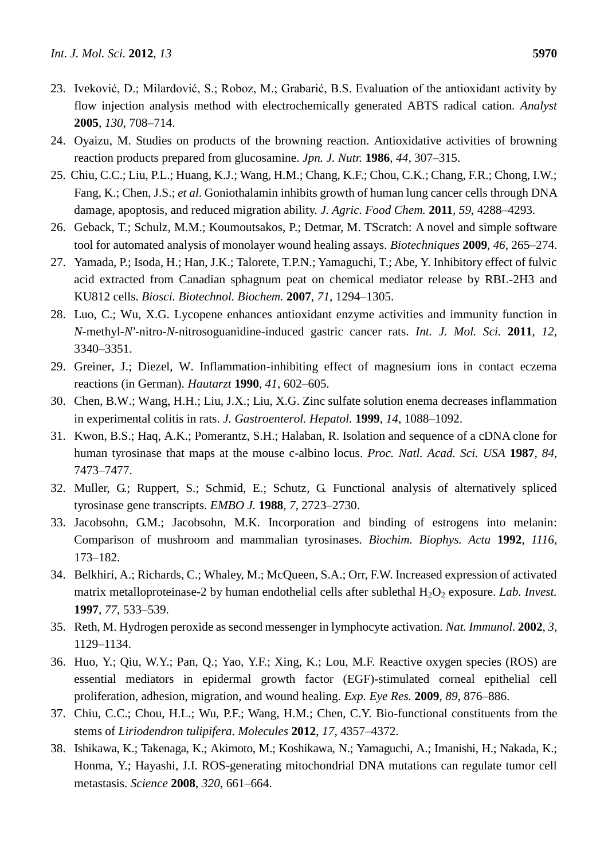- 23. Iveković, D.; Milardović, S.; Roboz, M.; Grabarić, B.S. Evaluation of the antioxidant activity by flow injection analysis method with electrochemically generated ABTS radical cation. *Analyst*  **2005**, *130*, 708–714.
- 24. Oyaizu, M. Studies on products of the browning reaction. Antioxidative activities of browning reaction products prepared from glucosamine. *Jpn. J. Nutr.* **1986**, *44*, 307–315.
- 25. Chiu, C.C.; Liu, P.L.; Huang, K.J.; Wang, H.M.; Chang, K.F.; Chou, C.K.; Chang, F.R.; Chong, I.W.; Fang, K.; Chen, J.S.; *et al*. Goniothalamin inhibits growth of human lung cancer cells through DNA damage, apoptosis, and reduced migration ability. *J. Agric. Food Chem.* **2011**, *59*, 4288–4293.
- 26. Geback, T.; Schulz, M.M.; Koumoutsakos, P.; Detmar, M. TScratch: A novel and simple software tool for automated analysis of monolayer wound healing assays. *Biotechniques* **2009**, *46*, 265–274.
- 27. Yamada, P.; Isoda, H.; Han, J.K.; Talorete, T.P.N.; Yamaguchi, T.; Abe, Y. Inhibitory effect of fulvic acid extracted from Canadian sphagnum peat on chemical mediator release by RBL-2H3 and KU812 cells. *Biosci. Biotechnol. Biochem.* **2007**, *71*, 1294–1305.
- 28. Luo, C.; Wu, X.G. Lycopene enhances antioxidant enzyme activities and immunity function in *N*-methyl-*N'*-nitro-*N*-nitrosoguanidine-induced gastric cancer rats. *Int. J. Mol. Sci.* **2011**, *12*, 3340–3351.
- 29. Greiner, J.; Diezel, W. Inflammation-inhibiting effect of magnesium ions in contact eczema reactions (in German). *[Hautarzt](http://www.ncbi.nlm.nih.gov/pubmed/2276913)* **1990**, *41*, 602–605.
- 30. Chen, B.W.; Wang, H.H.; Liu, J.X.; Liu, X.G. Zinc sulfate solution enema decreases inflammation in experimental colitis in rats. *J. Gastroenterol. Hepatol.* **1999**, *14*, 1088–1092.
- 31. Kwon, B.S.; Haq, A.K.; Pomerantz, S.H.; Halaban, R. Isolation and sequence of a cDNA clone for human tyrosinase that maps at the mouse c-albino locus. *Proc. Natl. Acad. Sci. USA* **1987**, *84*, 7473–7477.
- 32. Muller, G.; Ruppert, S.; Schmid, E.; Schutz, G. Functional analysis of alternatively spliced tyrosinase gene transcripts. *EMBO J.* **1988**, *7*, 2723–2730.
- 33. Jacobsohn, G.M.; Jacobsohn, M.K. Incorporation and binding of estrogens into melanin: Comparison of mushroom and mammalian tyrosinases. *Biochim. Biophys. Acta* **1992**, *1116*, 173–182.
- 34. Belkhiri, A.; Richards, C.; Whaley, M.; McQueen, S.A.; Orr, F.W. Increased expression of activated matrix metalloproteinase-2 by human endothelial cells after sublethal H<sub>2</sub>O<sub>2</sub> exposure. *Lab. Invest.* **1997**, *77*, 533–539.
- 35. Reth, M. Hydrogen peroxide as second messenger in lymphocyte activation. *Nat. Immunol.* **2002**, *3*, 1129–1134.
- 36. Huo, Y.; Qiu, W.Y.; Pan, Q.; Yao, Y.F.; Xing, K.; Lou, M.F. Reactive oxygen species (ROS) are essential mediators in epidermal growth factor (EGF)-stimulated corneal epithelial cell proliferation, adhesion, migration, and wound healing. *Exp. Eye Res.* **2009**, *89*, 876–886.
- 37. Chiu, C.C.; Chou, H.L.; Wu, P.F.; Wang, H.M.; Chen, C.Y. Bio-functional constituents from the stems of *Liriodendron tulipifera*. *Molecules* **2012**, *17*, 4357–4372.
- 38. Ishikawa, K.; Takenaga, K.; Akimoto, M.; Koshikawa, N.; Yamaguchi, A.; Imanishi, H.; Nakada, K.; Honma, Y.; Hayashi, J.I. ROS-generating mitochondrial DNA mutations can regulate tumor cell metastasis. *Science* **2008**, *320*, 661–664.